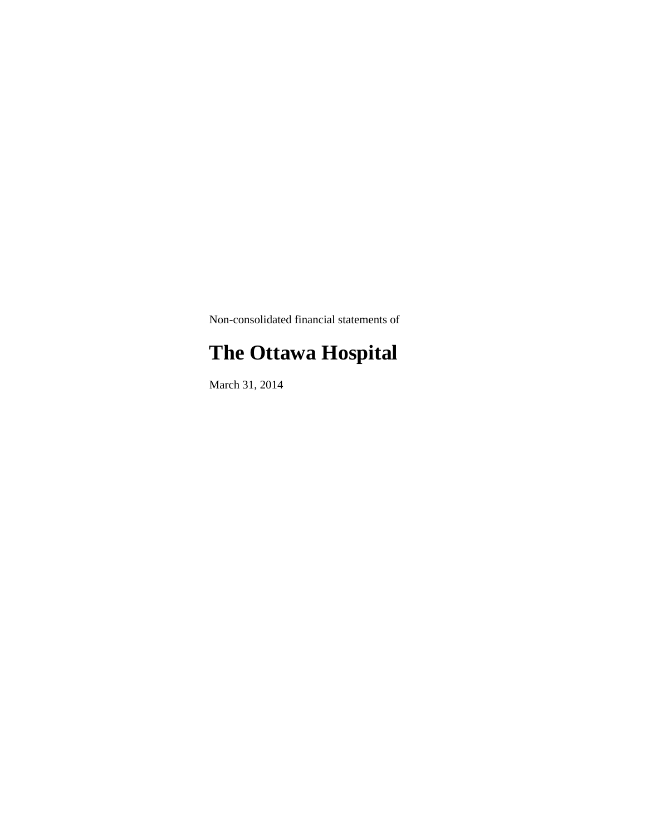Non-consolidated financial statements of

# **The Ottawa Hospital**

March 31, 2014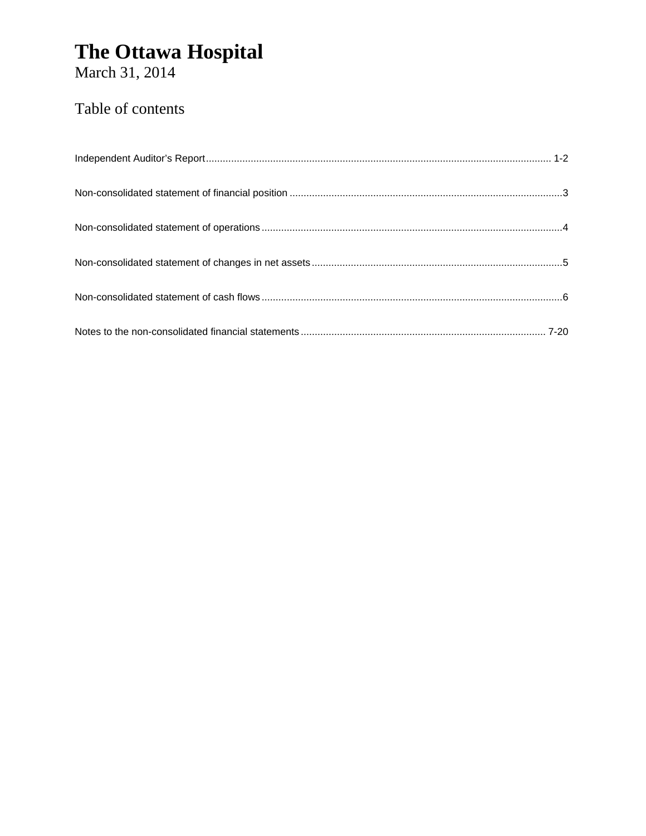March 31, 2014

### Table of contents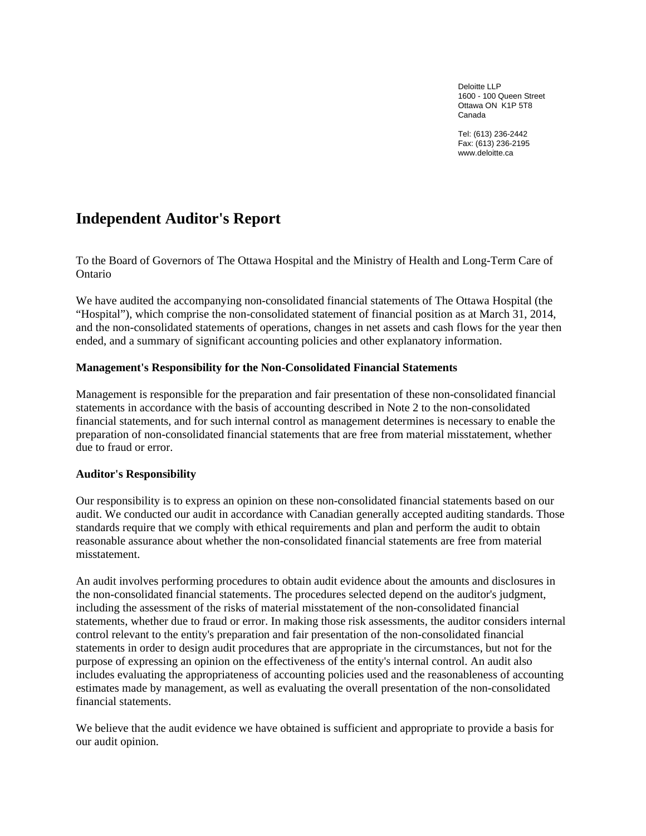Deloitte LLP 1600 - 100 Queen Street Ottawa ON K1P 5T8 Canada

Tel: (613) 236-2442 Fax: (613) 236-2195 www.deloitte.ca

### **Independent Auditor's Report**

To the Board of Governors of The Ottawa Hospital and the Ministry of Health and Long-Term Care of Ontario

We have audited the accompanying non-consolidated financial statements of The Ottawa Hospital (the "Hospital"), which comprise the non-consolidated statement of financial position as at March 31, 2014, and the non-consolidated statements of operations, changes in net assets and cash flows for the year then ended, and a summary of significant accounting policies and other explanatory information.

#### **Management's Responsibility for the Non-Consolidated Financial Statements**

Management is responsible for the preparation and fair presentation of these non-consolidated financial statements in accordance with the basis of accounting described in Note 2 to the non-consolidated financial statements, and for such internal control as management determines is necessary to enable the preparation of non-consolidated financial statements that are free from material misstatement, whether due to fraud or error.

#### **Auditor's Responsibility**

Our responsibility is to express an opinion on these non-consolidated financial statements based on our audit. We conducted our audit in accordance with Canadian generally accepted auditing standards. Those standards require that we comply with ethical requirements and plan and perform the audit to obtain reasonable assurance about whether the non-consolidated financial statements are free from material misstatement.

An audit involves performing procedures to obtain audit evidence about the amounts and disclosures in the non-consolidated financial statements. The procedures selected depend on the auditor's judgment, including the assessment of the risks of material misstatement of the non-consolidated financial statements, whether due to fraud or error. In making those risk assessments, the auditor considers internal control relevant to the entity's preparation and fair presentation of the non-consolidated financial statements in order to design audit procedures that are appropriate in the circumstances, but not for the purpose of expressing an opinion on the effectiveness of the entity's internal control. An audit also includes evaluating the appropriateness of accounting policies used and the reasonableness of accounting estimates made by management, as well as evaluating the overall presentation of the non-consolidated financial statements.

We believe that the audit evidence we have obtained is sufficient and appropriate to provide a basis for our audit opinion.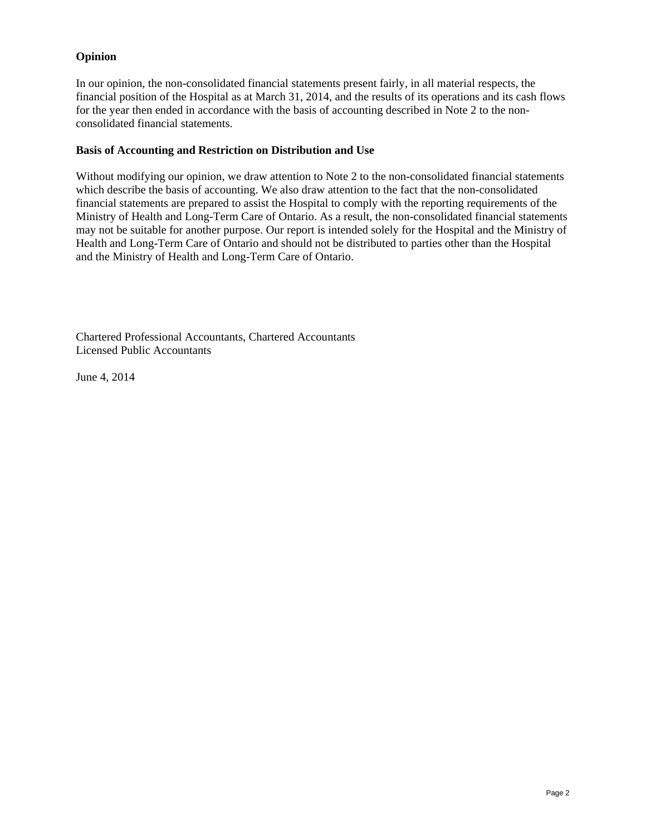#### **Opinion**

In our opinion, the non-consolidated financial statements present fairly, in all material respects, the financial position of the Hospital as at March 31, 2014, and the results of its operations and its cash flows for the year then ended in accordance with the basis of accounting described in Note 2 to the nonconsolidated financial statements.

#### **Basis of Accounting and Restriction on Distribution and Use**

Without modifying our opinion, we draw attention to Note 2 to the non-consolidated financial statements which describe the basis of accounting. We also draw attention to the fact that the non-consolidated financial statements are prepared to assist the Hospital to comply with the reporting requirements of the Ministry of Health and Long-Term Care of Ontario. As a result, the non-consolidated financial statements may not be suitable for another purpose. Our report is intended solely for the Hospital and the Ministry of Health and Long-Term Care of Ontario and should not be distributed to parties other than the Hospital and the Ministry of Health and Long-Term Care of Ontario.

Chartered Professional Accountants, Chartered Accountants Licensed Public Accountants

June 4, 2014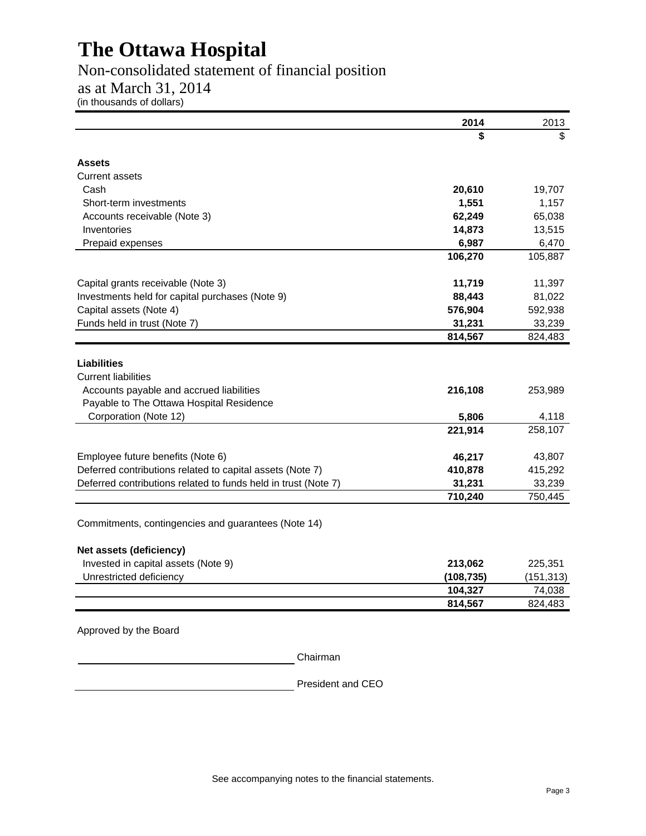### Non-consolidated statement of financial position

### as at March 31, 2014

(in thousands of dollars)

|                                                                                              | 2014       | 2013       |
|----------------------------------------------------------------------------------------------|------------|------------|
|                                                                                              | \$         | \$         |
| Assets                                                                                       |            |            |
| <b>Current assets</b>                                                                        |            |            |
| Cash                                                                                         | 20,610     | 19,707     |
| Short-term investments                                                                       | 1,551      | 1,157      |
| Accounts receivable (Note 3)                                                                 | 62,249     | 65,038     |
| Inventories                                                                                  | 14,873     | 13,515     |
| Prepaid expenses                                                                             | 6,987      | 6,470      |
|                                                                                              | 106,270    | 105,887    |
| Capital grants receivable (Note 3)                                                           | 11,719     | 11,397     |
| Investments held for capital purchases (Note 9)                                              | 88,443     | 81,022     |
| Capital assets (Note 4)                                                                      | 576,904    | 592,938    |
| Funds held in trust (Note 7)                                                                 | 31,231     | 33,239     |
|                                                                                              | 814,567    | 824,483    |
| <b>Liabilities</b><br><b>Current liabilities</b><br>Accounts payable and accrued liabilities | 216,108    | 253,989    |
| Payable to The Ottawa Hospital Residence                                                     |            |            |
| Corporation (Note 12)                                                                        | 5,806      | 4,118      |
|                                                                                              | 221,914    | 258,107    |
| Employee future benefits (Note 6)                                                            | 46,217     | 43,807     |
| Deferred contributions related to capital assets (Note 7)                                    | 410,878    | 415,292    |
| Deferred contributions related to funds held in trust (Note 7)                               | 31,231     | 33,239     |
|                                                                                              | 710,240    | 750,445    |
| Commitments, contingencies and guarantees (Note 14)                                          |            |            |
| Net assets (deficiency)                                                                      |            |            |
| Invested in capital assets (Note 9)                                                          | 213,062    | 225,351    |
| Unrestricted deficiency                                                                      | (108, 735) | (151, 313) |
|                                                                                              | 104,327    | 74,038     |
|                                                                                              | 814,567    | 824,483    |
| Approved by the Board                                                                        |            |            |

Chairman

President and CEO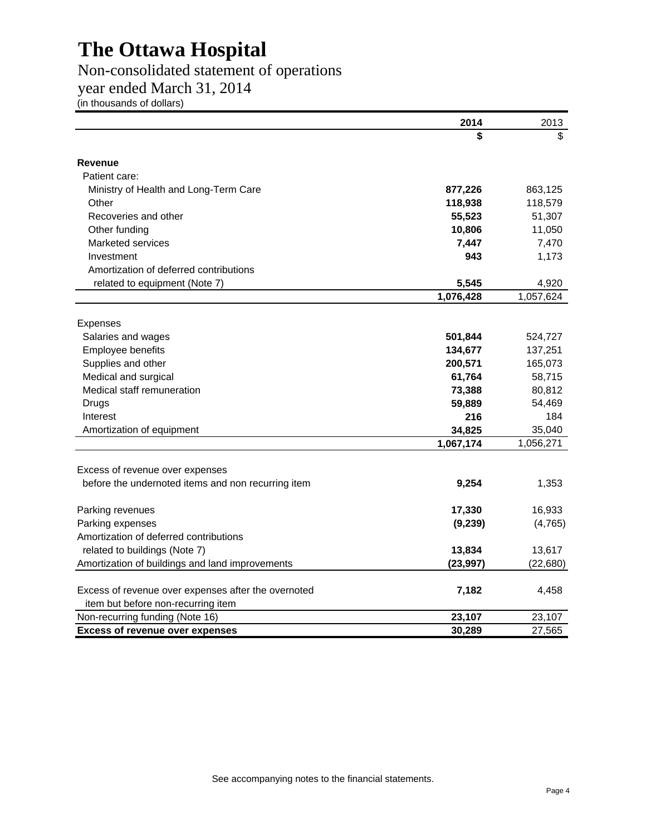### Non-consolidated statement of operations

year ended March 31, 2014

(in thousands of dollars)

|                                                     | 2014      | 2013      |
|-----------------------------------------------------|-----------|-----------|
|                                                     | \$        | \$        |
| <b>Revenue</b>                                      |           |           |
| Patient care:                                       |           |           |
| Ministry of Health and Long-Term Care               | 877,226   | 863,125   |
| Other                                               | 118,938   | 118,579   |
| Recoveries and other                                | 55,523    | 51,307    |
| Other funding                                       | 10,806    | 11,050    |
| <b>Marketed services</b>                            | 7,447     | 7,470     |
| Investment                                          | 943       | 1,173     |
| Amortization of deferred contributions              |           |           |
| related to equipment (Note 7)                       | 5,545     | 4,920     |
|                                                     | 1,076,428 | 1,057,624 |
|                                                     |           |           |
| Expenses                                            |           |           |
| Salaries and wages                                  | 501,844   | 524,727   |
| Employee benefits                                   | 134,677   | 137,251   |
| Supplies and other                                  | 200,571   | 165,073   |
| Medical and surgical                                | 61,764    | 58,715    |
| Medical staff remuneration                          | 73,388    | 80,812    |
| Drugs                                               | 59,889    | 54,469    |
| Interest                                            | 216       | 184       |
| Amortization of equipment                           | 34,825    | 35,040    |
|                                                     | 1,067,174 | 1,056,271 |
| Excess of revenue over expenses                     |           |           |
| before the undernoted items and non recurring item  | 9,254     | 1,353     |
| Parking revenues                                    | 17,330    | 16,933    |
| Parking expenses                                    | (9,239)   | (4,765)   |
| Amortization of deferred contributions              |           |           |
| related to buildings (Note 7)                       | 13,834    | 13,617    |
| Amortization of buildings and land improvements     | (23, 997) | (22, 680) |
|                                                     |           |           |
| Excess of revenue over expenses after the overnoted | 7,182     | 4,458     |
| item but before non-recurring item                  |           |           |
| Non-recurring funding (Note 16)                     | 23,107    | 23,107    |
| <b>Excess of revenue over expenses</b>              | 30,289    | 27,565    |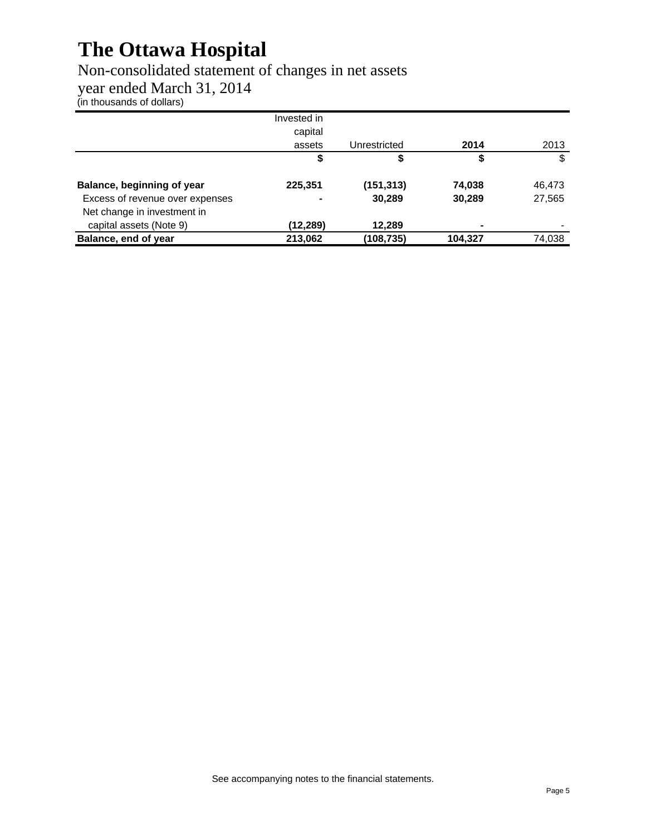### Non-consolidated statement of changes in net assets

year ended March 31, 2014

(in thousands of dollars)

|                                 | Invested in |              |         |        |
|---------------------------------|-------------|--------------|---------|--------|
|                                 | capital     |              |         |        |
|                                 | assets      | Unrestricted | 2014    | 2013   |
|                                 | \$          |              |         | S      |
| Balance, beginning of year      | 225,351     | (151,313)    | 74,038  | 46,473 |
| Excess of revenue over expenses | -           | 30,289       | 30,289  | 27,565 |
| Net change in investment in     |             |              |         |        |
| capital assets (Note 9)         | (12,289)    | 12,289       | -       |        |
| Balance, end of year            | 213,062     | (108,735)    | 104,327 | 74,038 |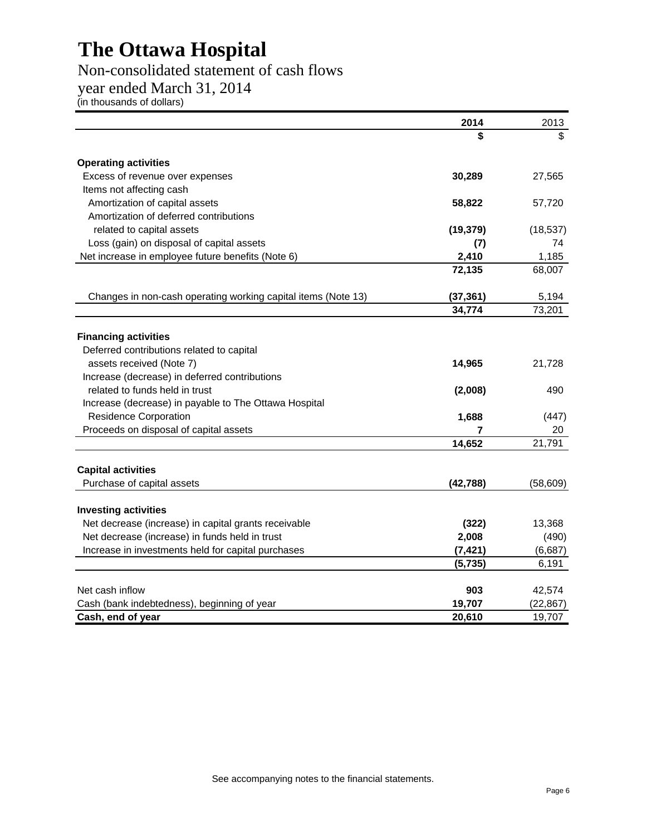### Non-consolidated statement of cash flows

year ended March 31, 2014

(in thousands of dollars)

|                                                               | 2014      | 2013      |
|---------------------------------------------------------------|-----------|-----------|
|                                                               | \$        | \$        |
| <b>Operating activities</b>                                   |           |           |
| Excess of revenue over expenses                               | 30,289    | 27,565    |
| Items not affecting cash                                      |           |           |
| Amortization of capital assets                                | 58,822    | 57,720    |
| Amortization of deferred contributions                        |           |           |
| related to capital assets                                     | (19, 379) | (18, 537) |
| Loss (gain) on disposal of capital assets                     | (7)       | 74        |
| Net increase in employee future benefits (Note 6)             | 2,410     | 1,185     |
|                                                               | 72,135    | 68,007    |
| Changes in non-cash operating working capital items (Note 13) | (37, 361) | 5,194     |
|                                                               | 34,774    | 73,201    |
|                                                               |           |           |
| <b>Financing activities</b>                                   |           |           |
| Deferred contributions related to capital                     |           |           |
| assets received (Note 7)                                      | 14,965    | 21,728    |
| Increase (decrease) in deferred contributions                 |           |           |
| related to funds held in trust                                | (2,008)   | 490       |
| Increase (decrease) in payable to The Ottawa Hospital         |           |           |
| <b>Residence Corporation</b>                                  | 1,688     | (447)     |
| Proceeds on disposal of capital assets                        | 7         | 20        |
|                                                               | 14,652    | 21,791    |
| <b>Capital activities</b>                                     |           |           |
| Purchase of capital assets                                    | (42, 788) | (58, 609) |
|                                                               |           |           |
| <b>Investing activities</b>                                   |           |           |
| Net decrease (increase) in capital grants receivable          | (322)     | 13,368    |
| Net decrease (increase) in funds held in trust                | 2,008     | (490)     |
| Increase in investments held for capital purchases            | (7, 421)  | (6,687)   |
|                                                               | (5, 735)  | 6,191     |
| Net cash inflow                                               | 903       | 42,574    |
| Cash (bank indebtedness), beginning of year                   | 19,707    | (22, 867) |
| Cash, end of year                                             | 20,610    | 19,707    |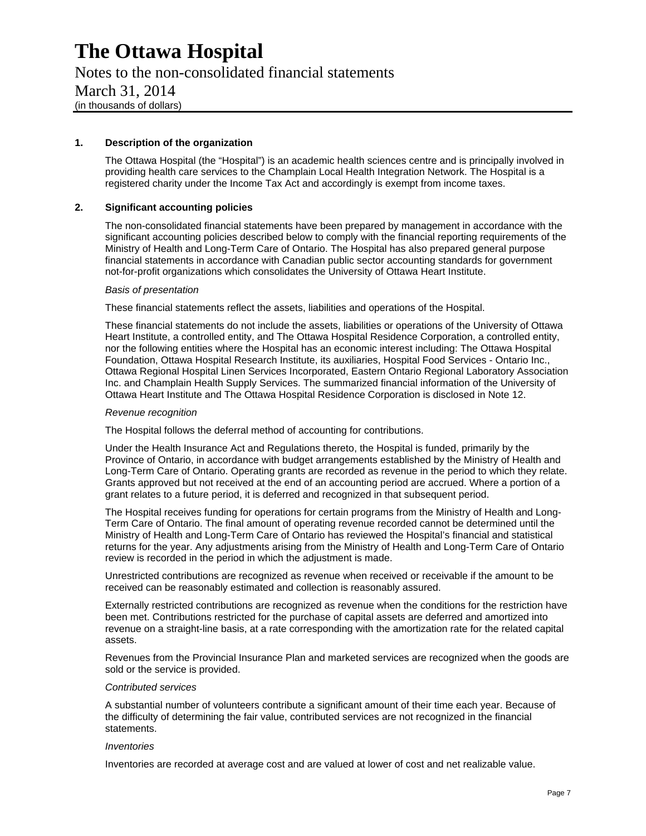Notes to the non-consolidated financial statements March 31, 2014 (in thousands of dollars)

#### **1. Description of the organization**

The Ottawa Hospital (the "Hospital") is an academic health sciences centre and is principally involved in providing health care services to the Champlain Local Health Integration Network. The Hospital is a registered charity under the Income Tax Act and accordingly is exempt from income taxes.

#### **2. Significant accounting policies**

The non-consolidated financial statements have been prepared by management in accordance with the significant accounting policies described below to comply with the financial reporting requirements of the Ministry of Health and Long-Term Care of Ontario. The Hospital has also prepared general purpose financial statements in accordance with Canadian public sector accounting standards for government not-for-profit organizations which consolidates the University of Ottawa Heart Institute.

#### *Basis of presentation*

These financial statements reflect the assets, liabilities and operations of the Hospital.

These financial statements do not include the assets, liabilities or operations of the University of Ottawa Heart Institute, a controlled entity, and The Ottawa Hospital Residence Corporation, a controlled entity, nor the following entities where the Hospital has an economic interest including: The Ottawa Hospital Foundation, Ottawa Hospital Research Institute, its auxiliaries, Hospital Food Services - Ontario Inc., Ottawa Regional Hospital Linen Services Incorporated, Eastern Ontario Regional Laboratory Association Inc. and Champlain Health Supply Services. The summarized financial information of the University of Ottawa Heart Institute and The Ottawa Hospital Residence Corporation is disclosed in Note 12.

#### *Revenue recognition*

The Hospital follows the deferral method of accounting for contributions.

Under the Health Insurance Act and Regulations thereto, the Hospital is funded, primarily by the Province of Ontario, in accordance with budget arrangements established by the Ministry of Health and Long-Term Care of Ontario. Operating grants are recorded as revenue in the period to which they relate. Grants approved but not received at the end of an accounting period are accrued. Where a portion of a grant relates to a future period, it is deferred and recognized in that subsequent period.

The Hospital receives funding for operations for certain programs from the Ministry of Health and Long-Term Care of Ontario. The final amount of operating revenue recorded cannot be determined until the Ministry of Health and Long-Term Care of Ontario has reviewed the Hospital's financial and statistical returns for the year. Any adjustments arising from the Ministry of Health and Long-Term Care of Ontario review is recorded in the period in which the adjustment is made.

Unrestricted contributions are recognized as revenue when received or receivable if the amount to be received can be reasonably estimated and collection is reasonably assured.

Externally restricted contributions are recognized as revenue when the conditions for the restriction have been met. Contributions restricted for the purchase of capital assets are deferred and amortized into revenue on a straight-line basis, at a rate corresponding with the amortization rate for the related capital assets.

Revenues from the Provincial Insurance Plan and marketed services are recognized when the goods are sold or the service is provided.

#### *Contributed services*

A substantial number of volunteers contribute a significant amount of their time each year. Because of the difficulty of determining the fair value, contributed services are not recognized in the financial statements.

#### *Inventories*

Inventories are recorded at average cost and are valued at lower of cost and net realizable value.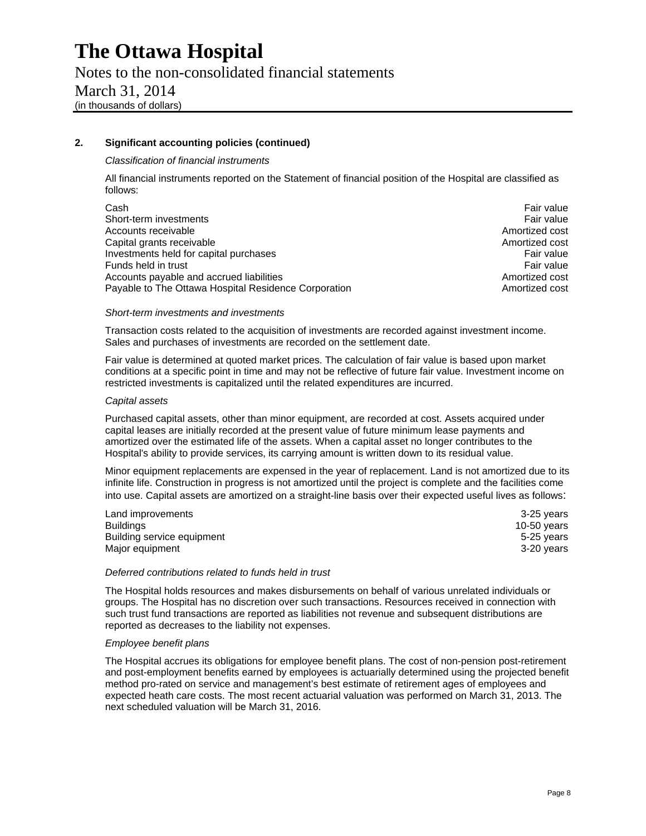Notes to the non-consolidated financial statements March 31, 2014 (in thousands of dollars)

#### **2. Significant accounting policies (continued)**

#### *Classification of financial instruments*

All financial instruments reported on the Statement of financial position of the Hospital are classified as follows:

| Cash                                                 | Fair value     |
|------------------------------------------------------|----------------|
| Short-term investments                               | Fair value     |
| Accounts receivable                                  | Amortized cost |
| Capital grants receivable                            | Amortized cost |
| Investments held for capital purchases               | Fair value     |
| Funds held in trust                                  | Fair value     |
| Accounts payable and accrued liabilities             | Amortized cost |
| Payable to The Ottawa Hospital Residence Corporation | Amortized cost |

#### *Short-term investments and investments*

Transaction costs related to the acquisition of investments are recorded against investment income. Sales and purchases of investments are recorded on the settlement date.

Fair value is determined at quoted market prices. The calculation of fair value is based upon market conditions at a specific point in time and may not be reflective of future fair value. Investment income on restricted investments is capitalized until the related expenditures are incurred.

#### *Capital assets*

Purchased capital assets, other than minor equipment, are recorded at cost. Assets acquired under capital leases are initially recorded at the present value of future minimum lease payments and amortized over the estimated life of the assets. When a capital asset no longer contributes to the Hospital's ability to provide services, its carrying amount is written down to its residual value.

Minor equipment replacements are expensed in the year of replacement. Land is not amortized due to its infinite life. Construction in progress is not amortized until the project is complete and the facilities come into use. Capital assets are amortized on a straight-line basis over their expected useful lives as follows:

| Land improvements          | 3-25 years  |
|----------------------------|-------------|
| Buildings                  | 10-50 years |
| Building service equipment | 5-25 years  |
| Major equipment            | 3-20 years  |

#### *Deferred contributions related to funds held in trust*

The Hospital holds resources and makes disbursements on behalf of various unrelated individuals or groups. The Hospital has no discretion over such transactions. Resources received in connection with such trust fund transactions are reported as liabilities not revenue and subsequent distributions are reported as decreases to the liability not expenses.

#### *Employee benefit plans*

The Hospital accrues its obligations for employee benefit plans. The cost of non-pension post-retirement and post-employment benefits earned by employees is actuarially determined using the projected benefit method pro-rated on service and management's best estimate of retirement ages of employees and expected heath care costs. The most recent actuarial valuation was performed on March 31, 2013. The next scheduled valuation will be March 31, 2016.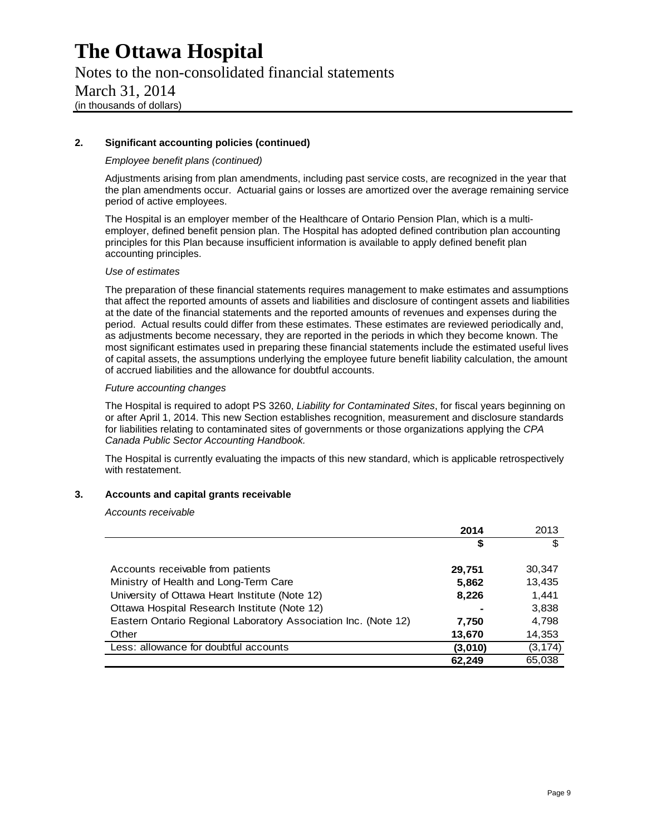### Notes to the non-consolidated financial statements March 31, 2014 (in thousands of dollars)

#### **2. Significant accounting policies (continued)**

#### *Employee benefit plans (continued)*

Adjustments arising from plan amendments, including past service costs, are recognized in the year that the plan amendments occur. Actuarial gains or losses are amortized over the average remaining service period of active employees.

The Hospital is an employer member of the Healthcare of Ontario Pension Plan, which is a multiemployer, defined benefit pension plan. The Hospital has adopted defined contribution plan accounting principles for this Plan because insufficient information is available to apply defined benefit plan accounting principles.

#### *Use of estimates*

The preparation of these financial statements requires management to make estimates and assumptions that affect the reported amounts of assets and liabilities and disclosure of contingent assets and liabilities at the date of the financial statements and the reported amounts of revenues and expenses during the period. Actual results could differ from these estimates. These estimates are reviewed periodically and, as adjustments become necessary, they are reported in the periods in which they become known. The most significant estimates used in preparing these financial statements include the estimated useful lives of capital assets, the assumptions underlying the employee future benefit liability calculation, the amount of accrued liabilities and the allowance for doubtful accounts.

#### *Future accounting changes*

The Hospital is required to adopt PS 3260, *Liability for Contaminated Sites*, for fiscal years beginning on or after April 1, 2014. This new Section establishes recognition, measurement and disclosure standards for liabilities relating to contaminated sites of governments or those organizations applying the *CPA Canada Public Sector Accounting Handbook.*

The Hospital is currently evaluating the impacts of this new standard, which is applicable retrospectively with restatement.

#### **3. Accounts and capital grants receivable**

#### *Accounts receivable*

|                                                                | 2014    | 2013     |
|----------------------------------------------------------------|---------|----------|
|                                                                | S       | \$       |
|                                                                |         |          |
| Accounts receivable from patients                              | 29,751  | 30,347   |
| Ministry of Health and Long-Term Care                          | 5,862   | 13,435   |
| University of Ottawa Heart Institute (Note 12)                 | 8,226   | 1,441    |
| Ottawa Hospital Research Institute (Note 12)                   |         | 3,838    |
| Eastern Ontario Regional Laboratory Association Inc. (Note 12) | 7.750   | 4,798    |
| Other                                                          | 13,670  | 14,353   |
| Less: allowance for doubtful accounts                          | (3,010) | (3, 174) |
|                                                                | 62,249  | 65,038   |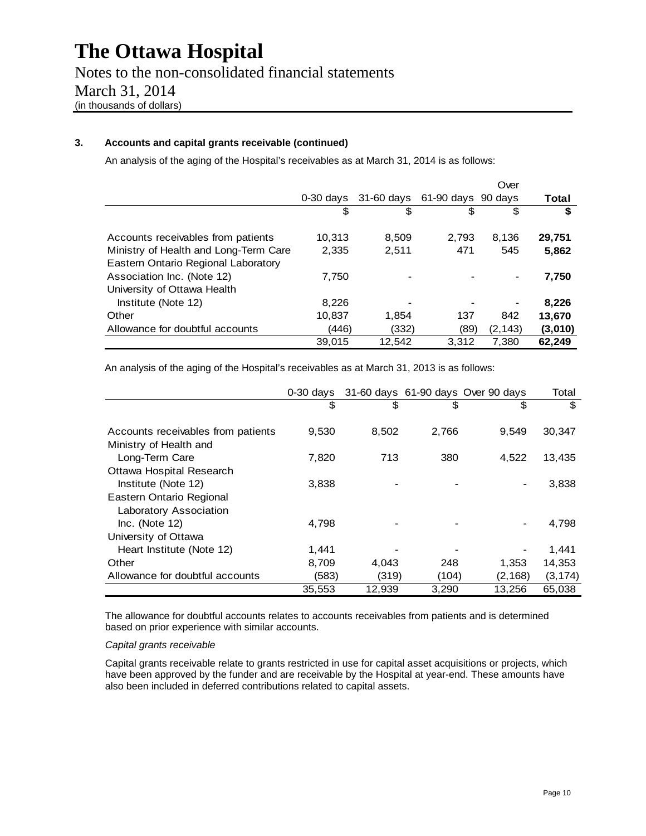### Notes to the non-consolidated financial statements March 31, 2014 (in thousands of dollars)

#### **3. Accounts and capital grants receivable (continued)**

An analysis of the aging of the Hospital's receivables as at March 31, 2014 is as follows:

|                                       |             |            |                        | Over     |         |
|---------------------------------------|-------------|------------|------------------------|----------|---------|
|                                       | $0-30$ days | 31-60 days | $61-90$ days $90$ days |          | Total   |
|                                       | S           | S          | S                      |          | \$      |
| Accounts receivables from patients    | 10,313      | 8,509      | 2,793                  | 8.136    | 29.751  |
| Ministry of Health and Long-Term Care | 2,335       | 2,511      | 471                    | 545      | 5,862   |
| Eastern Ontario Regional Laboratory   |             |            |                        |          |         |
| Association Inc. (Note 12)            | 7.750       |            |                        |          | 7,750   |
| University of Ottawa Health           |             |            |                        |          |         |
| Institute (Note 12)                   | 8,226       |            |                        |          | 8,226   |
| Other                                 | 10,837      | 1.854      | 137                    | 842      | 13.670  |
| Allowance for doubtful accounts       | (446)       | (332)      | (89)                   | (2, 143) | (3,010) |
|                                       | 39,015      | 12,542     | 3.312                  | 7.380    | 62.249  |

An analysis of the aging of the Hospital's receivables as at March 31, 2013 is as follows:

|                                    | $0-30$ days |        |       | 31-60 days 61-90 days Over 90 days | Total    |
|------------------------------------|-------------|--------|-------|------------------------------------|----------|
|                                    | \$          | \$     | \$    | \$                                 | \$       |
|                                    |             |        |       |                                    |          |
| Accounts receivables from patients | 9,530       | 8,502  | 2,766 | 9,549                              | 30,347   |
| Ministry of Health and             |             |        |       |                                    |          |
| Long-Term Care                     | 7,820       | 713    | 380   | 4.522                              | 13,435   |
| Ottawa Hospital Research           |             |        |       |                                    |          |
| Institute (Note 12)                | 3,838       |        |       |                                    | 3,838    |
| Eastern Ontario Regional           |             |        |       |                                    |          |
| Laboratory Association             |             |        |       |                                    |          |
| $Inc.$ (Note 12)                   | 4,798       |        |       |                                    | 4,798    |
| University of Ottawa               |             |        |       |                                    |          |
| Heart Institute (Note 12)          | 1,441       |        |       |                                    | 1,441    |
| Other                              | 8.709       | 4.043  | 248   | 1,353                              | 14,353   |
| Allowance for doubtful accounts    | (583)       | (319)  | (104) | (2, 168)                           | (3, 174) |
|                                    | 35,553      | 12,939 | 3,290 | 13,256                             | 65,038   |

The allowance for doubtful accounts relates to accounts receivables from patients and is determined based on prior experience with similar accounts.

#### *Capital grants receivable*

Capital grants receivable relate to grants restricted in use for capital asset acquisitions or projects, which have been approved by the funder and are receivable by the Hospital at year-end. These amounts have also been included in deferred contributions related to capital assets.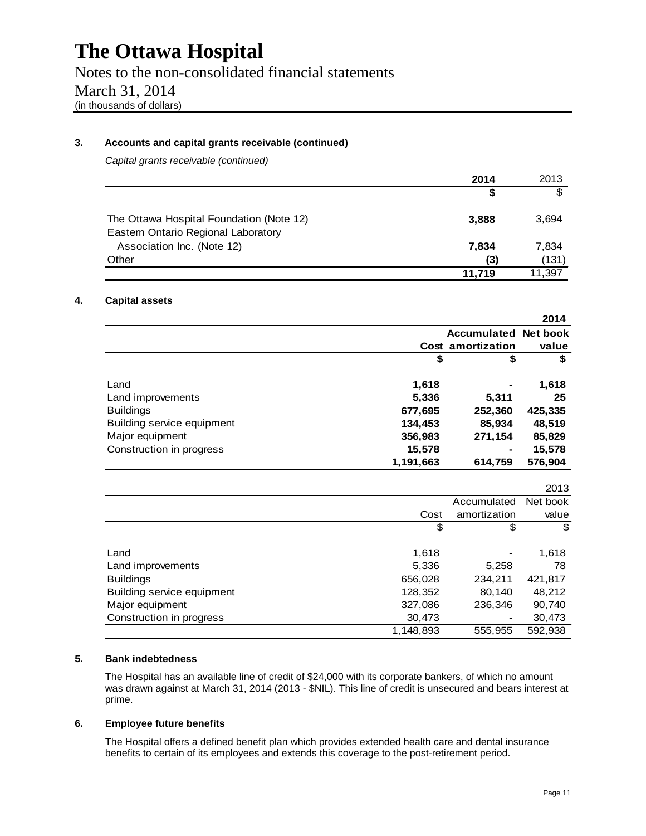Notes to the non-consolidated financial statements March 31, 2014 (in thousands of dollars)

#### **3. Accounts and capital grants receivable (continued)**

*Capital grants receivable (continued)* 

|                                                                                 | 2014   | 2013   |
|---------------------------------------------------------------------------------|--------|--------|
|                                                                                 | S      | \$.    |
| The Ottawa Hospital Foundation (Note 12)<br>Eastern Ontario Regional Laboratory | 3,888  | 3,694  |
| Association Inc. (Note 12)                                                      | 7,834  | 7,834  |
| Other                                                                           | (3)    | (131)  |
|                                                                                 | 11.719 | 11,397 |

#### **4. Capital assets**

|                                   |           |                             | 2014    |
|-----------------------------------|-----------|-----------------------------|---------|
|                                   |           | <b>Accumulated Net book</b> |         |
|                                   |           | Cost amortization           | value   |
|                                   | \$        | \$                          | \$      |
| Land                              | 1,618     |                             | 1,618   |
| Land improvements                 | 5,336     | 5,311                       | 25      |
| <b>Buildings</b>                  | 677,695   | 252,360                     | 425,335 |
| <b>Building service equipment</b> | 134,453   | 85,934                      | 48,519  |
| Major equipment                   | 356,983   | 271,154                     | 85,829  |
| Construction in progress          | 15,578    |                             | 15,578  |
|                                   | 1,191,663 | 614,759                     | 576,904 |

|                                   |           |              | 2013     |
|-----------------------------------|-----------|--------------|----------|
|                                   |           | Accumulated  | Net book |
|                                   | Cost      | amortization | value    |
|                                   | \$        | \$           | \$       |
|                                   |           |              |          |
| Land                              | 1,618     |              | 1,618    |
| Land improvements                 | 5,336     | 5,258        | 78       |
| <b>Buildings</b>                  | 656,028   | 234,211      | 421,817  |
| <b>Building service equipment</b> | 128,352   | 80,140       | 48,212   |
| Major equipment                   | 327,086   | 236,346      | 90,740   |
| Construction in progress          | 30,473    |              | 30,473   |
|                                   | 1,148,893 | 555,955      | 592,938  |

#### **5. Bank indebtedness**

The Hospital has an available line of credit of \$24,000 with its corporate bankers, of which no amount was drawn against at March 31, 2014 (2013 - \$NIL). This line of credit is unsecured and bears interest at prime.

#### **6. Employee future benefits**

The Hospital offers a defined benefit plan which provides extended health care and dental insurance benefits to certain of its employees and extends this coverage to the post-retirement period.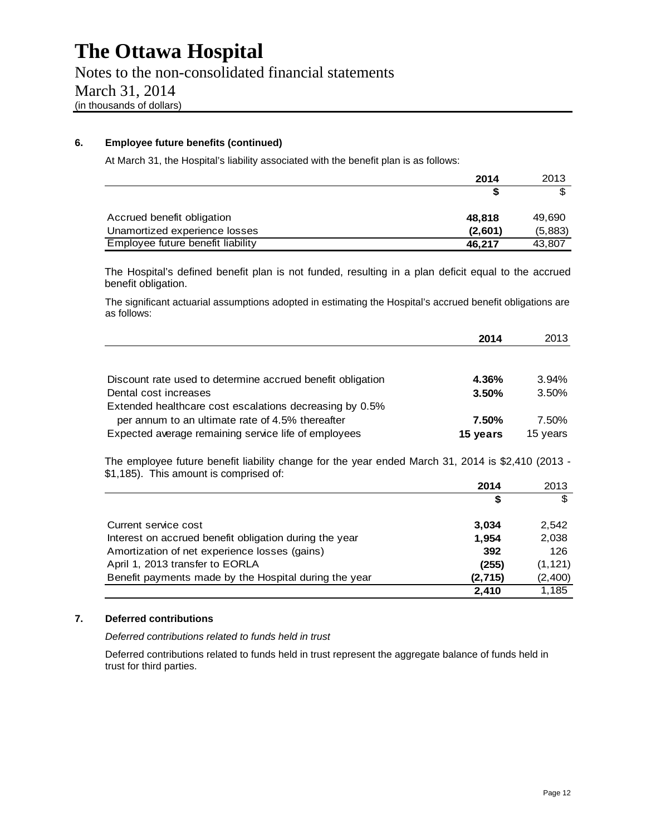#### **6. Employee future benefits (continued)**

At March 31, the Hospital's liability associated with the benefit plan is as follows:

|                                   | 2014    | 2013    |
|-----------------------------------|---------|---------|
|                                   |         |         |
| Accrued benefit obligation        | 48.818  | 49,690  |
| Unamortized experience losses     | (2,601) | (5,883) |
| Employee future benefit liability | 46.217  | 43,807  |

The Hospital's defined benefit plan is not funded, resulting in a plan deficit equal to the accrued benefit obligation.

The significant actuarial assumptions adopted in estimating the Hospital's accrued benefit obligations are as follows:

|                                                                                                                                             | 2014     | 2013     |
|---------------------------------------------------------------------------------------------------------------------------------------------|----------|----------|
|                                                                                                                                             |          |          |
| Discount rate used to determine accrued benefit obligation                                                                                  | 4.36%    | 3.94%    |
| Dental cost increases                                                                                                                       | 3.50%    | 3.50%    |
| Extended healthcare cost escalations decreasing by 0.5%                                                                                     |          |          |
| per annum to an ultimate rate of 4.5% thereafter                                                                                            | 7.50%    | 7.50%    |
| Expected average remaining service life of employees                                                                                        | 15 years | 15 years |
| The employee future benefit liability change for the year ended March 31, 2014 is \$2,410 (2013 -<br>\$1,185). This amount is comprised of: |          |          |

|                                                        | 2014    | 2013     |
|--------------------------------------------------------|---------|----------|
|                                                        | S       | \$       |
| Current service cost                                   | 3.034   | 2.542    |
| Interest on accrued benefit obligation during the year | 1.954   | 2,038    |
| Amortization of net experience losses (gains)          | 392     | 126      |
| April 1, 2013 transfer to EORLA                        | (255)   | (1, 121) |
| Benefit payments made by the Hospital during the year  | (2,715) | (2,400)  |
|                                                        | 2.410   | 1.185    |

#### **7. Deferred contributions**

*Deferred contributions related to funds held in trust* 

Deferred contributions related to funds held in trust represent the aggregate balance of funds held in trust for third parties.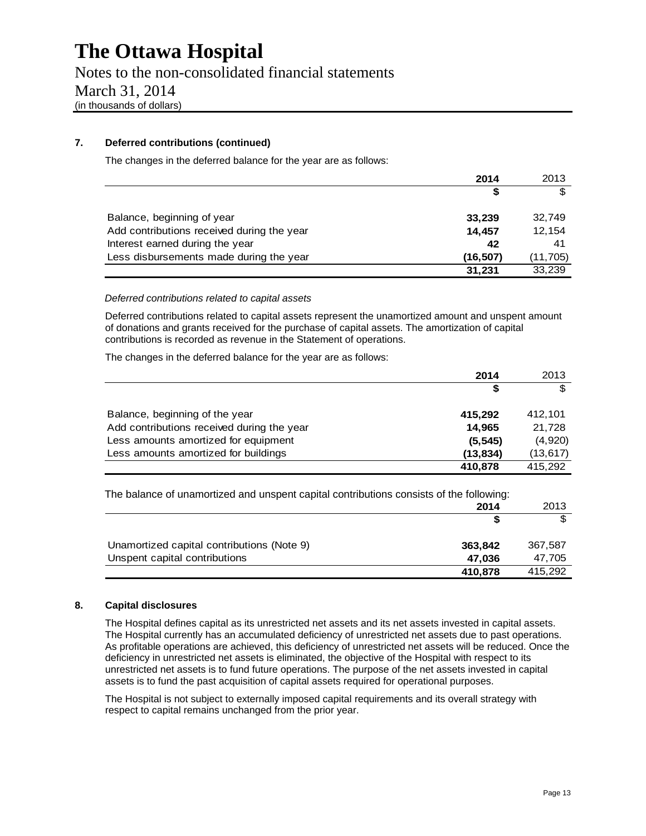Notes to the non-consolidated financial statements March 31, 2014 (in thousands of dollars)

#### **7. Deferred contributions (continued)**

The changes in the deferred balance for the year are as follows:

|                                            | 2014     | 2013     |
|--------------------------------------------|----------|----------|
|                                            | S        |          |
|                                            |          |          |
| Balance, beginning of year                 | 33,239   | 32,749   |
| Add contributions received during the year | 14,457   | 12,154   |
| Interest earned during the year            | 42       | 41       |
| Less disbursements made during the year    | (16,507) | (11,705) |
|                                            | 31,231   | 33,239   |

#### *Deferred contributions related to capital assets*

Deferred contributions related to capital assets represent the unamortized amount and unspent amount of donations and grants received for the purchase of capital assets. The amortization of capital contributions is recorded as revenue in the Statement of operations.

The changes in the deferred balance for the year are as follows:

|                                            | 2014      | 2013      |
|--------------------------------------------|-----------|-----------|
|                                            | 5         | \$        |
| Balance, beginning of the year             | 415.292   | 412.101   |
| Add contributions received during the year | 14,965    | 21,728    |
| Less amounts amortized for equipment       | (5, 545)  | (4,920)   |
| Less amounts amortized for buildings       | (13, 834) | (13, 617) |
|                                            | 410,878   | 415.292   |

The balance of unamortized and unspent capital contributions consists of the following:

|                                            | 2014    | 2013    |
|--------------------------------------------|---------|---------|
|                                            |         |         |
| Unamortized capital contributions (Note 9) | 363,842 | 367,587 |
| Unspent capital contributions              | 47.036  | 47,705  |
|                                            | 410,878 | 415,292 |

#### **8. Capital disclosures**

The Hospital defines capital as its unrestricted net assets and its net assets invested in capital assets. The Hospital currently has an accumulated deficiency of unrestricted net assets due to past operations. As profitable operations are achieved, this deficiency of unrestricted net assets will be reduced. Once the deficiency in unrestricted net assets is eliminated, the objective of the Hospital with respect to its unrestricted net assets is to fund future operations. The purpose of the net assets invested in capital assets is to fund the past acquisition of capital assets required for operational purposes.

The Hospital is not subject to externally imposed capital requirements and its overall strategy with respect to capital remains unchanged from the prior year.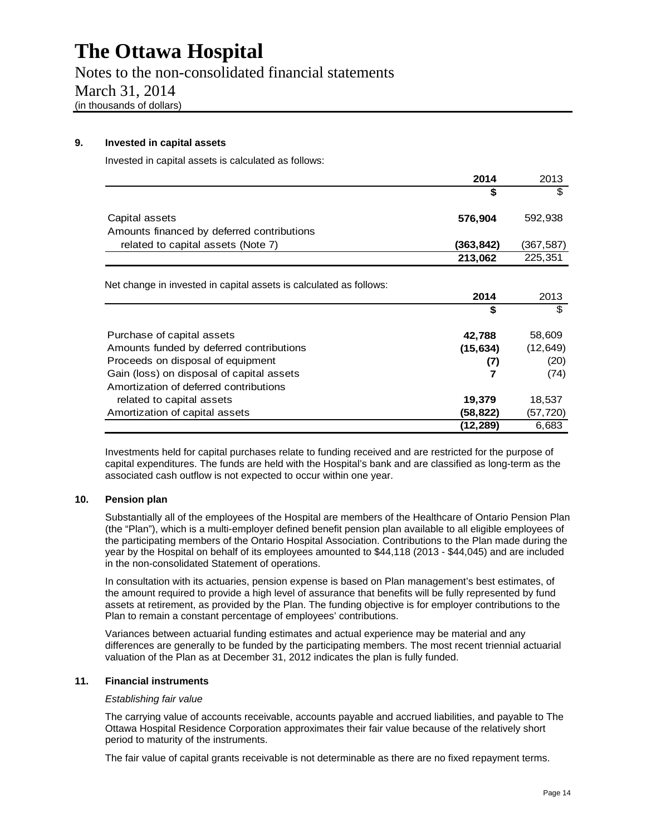Notes to the non-consolidated financial statements March 31, 2014 (in thousands of dollars)

#### **9. Invested in capital assets**

Invested in capital assets is calculated as follows:

|                                                                    | 2014      | 2013      |
|--------------------------------------------------------------------|-----------|-----------|
|                                                                    | \$        | \$        |
| Capital assets                                                     | 576,904   | 592,938   |
| Amounts financed by deferred contributions                         |           |           |
| related to capital assets (Note 7)                                 | (363,842) | (367,587) |
|                                                                    | 213,062   | 225,351   |
| Net change in invested in capital assets is calculated as follows: |           |           |
|                                                                    | 2014      | 2013      |
|                                                                    | \$        | \$        |
| Purchase of capital assets                                         | 42,788    | 58,609    |
| Amounts funded by deferred contributions                           | (15, 634) | (12, 649) |
| Proceeds on disposal of equipment                                  | (7)       | (20)      |
| Gain (loss) on disposal of capital assets                          | 7         | (74)      |
| Amortization of deferred contributions                             |           |           |
| related to capital assets                                          | 19,379    | 18,537    |
| Amortization of capital assets                                     | (58,822)  | (57, 720) |
|                                                                    | (12,289)  | 6,683     |

Investments held for capital purchases relate to funding received and are restricted for the purpose of capital expenditures. The funds are held with the Hospital's bank and are classified as long-term as the associated cash outflow is not expected to occur within one year.

#### **10. Pension plan**

Substantially all of the employees of the Hospital are members of the Healthcare of Ontario Pension Plan (the "Plan"), which is a multi-employer defined benefit pension plan available to all eligible employees of the participating members of the Ontario Hospital Association. Contributions to the Plan made during the year by the Hospital on behalf of its employees amounted to \$44,118 (2013 - \$44,045) and are included in the non-consolidated Statement of operations.

In consultation with its actuaries, pension expense is based on Plan management's best estimates, of the amount required to provide a high level of assurance that benefits will be fully represented by fund assets at retirement, as provided by the Plan. The funding objective is for employer contributions to the Plan to remain a constant percentage of employees' contributions.

Variances between actuarial funding estimates and actual experience may be material and any differences are generally to be funded by the participating members. The most recent triennial actuarial valuation of the Plan as at December 31, 2012 indicates the plan is fully funded.

#### **11. Financial instruments**

#### *Establishing fair value*

The carrying value of accounts receivable, accounts payable and accrued liabilities, and payable to The Ottawa Hospital Residence Corporation approximates their fair value because of the relatively short period to maturity of the instruments.

The fair value of capital grants receivable is not determinable as there are no fixed repayment terms.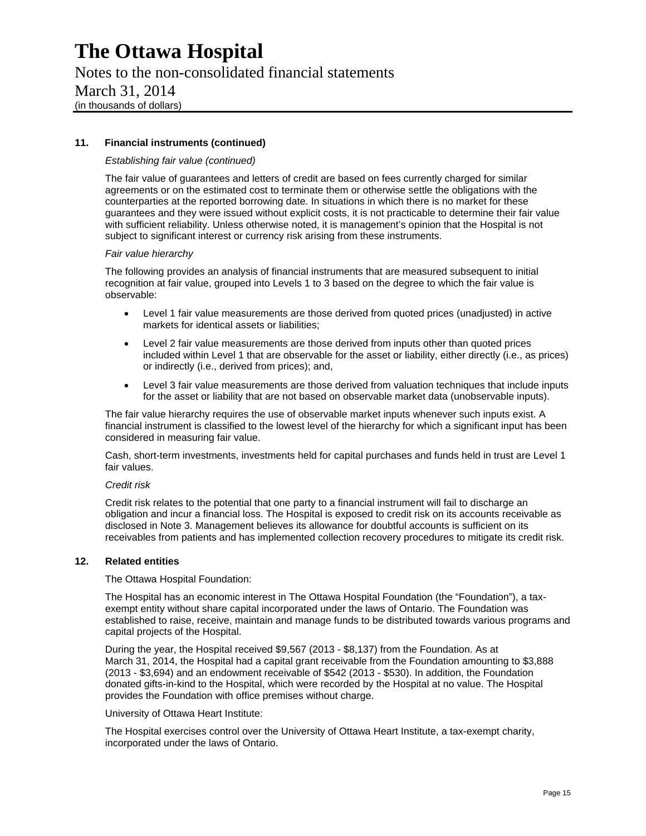### Notes to the non-consolidated financial statements March 31, 2014 (in thousands of dollars)

#### **11. Financial instruments (continued)**

#### *Establishing fair value (continued)*

The fair value of guarantees and letters of credit are based on fees currently charged for similar agreements or on the estimated cost to terminate them or otherwise settle the obligations with the counterparties at the reported borrowing date. In situations in which there is no market for these guarantees and they were issued without explicit costs, it is not practicable to determine their fair value with sufficient reliability. Unless otherwise noted, it is management's opinion that the Hospital is not subject to significant interest or currency risk arising from these instruments.

#### *Fair value hierarchy*

The following provides an analysis of financial instruments that are measured subsequent to initial recognition at fair value, grouped into Levels 1 to 3 based on the degree to which the fair value is observable:

- Level 1 fair value measurements are those derived from quoted prices (unadjusted) in active markets for identical assets or liabilities;
- Level 2 fair value measurements are those derived from inputs other than quoted prices included within Level 1 that are observable for the asset or liability, either directly (i.e., as prices) or indirectly (i.e., derived from prices); and,
- Level 3 fair value measurements are those derived from valuation techniques that include inputs for the asset or liability that are not based on observable market data (unobservable inputs).

The fair value hierarchy requires the use of observable market inputs whenever such inputs exist. A financial instrument is classified to the lowest level of the hierarchy for which a significant input has been considered in measuring fair value.

Cash, short-term investments, investments held for capital purchases and funds held in trust are Level 1 fair values.

#### *Credit risk*

Credit risk relates to the potential that one party to a financial instrument will fail to discharge an obligation and incur a financial loss. The Hospital is exposed to credit risk on its accounts receivable as disclosed in Note 3. Management believes its allowance for doubtful accounts is sufficient on its receivables from patients and has implemented collection recovery procedures to mitigate its credit risk.

#### **12. Related entities**

The Ottawa Hospital Foundation:

The Hospital has an economic interest in The Ottawa Hospital Foundation (the "Foundation"), a taxexempt entity without share capital incorporated under the laws of Ontario. The Foundation was established to raise, receive, maintain and manage funds to be distributed towards various programs and capital projects of the Hospital.

During the year, the Hospital received \$9,567 (2013 - \$8,137) from the Foundation. As at March 31, 2014, the Hospital had a capital grant receivable from the Foundation amounting to \$3,888 (2013 - \$3,694) and an endowment receivable of \$542 (2013 - \$530). In addition, the Foundation donated gifts-in-kind to the Hospital, which were recorded by the Hospital at no value. The Hospital provides the Foundation with office premises without charge.

University of Ottawa Heart Institute:

The Hospital exercises control over the University of Ottawa Heart Institute, a tax-exempt charity, incorporated under the laws of Ontario.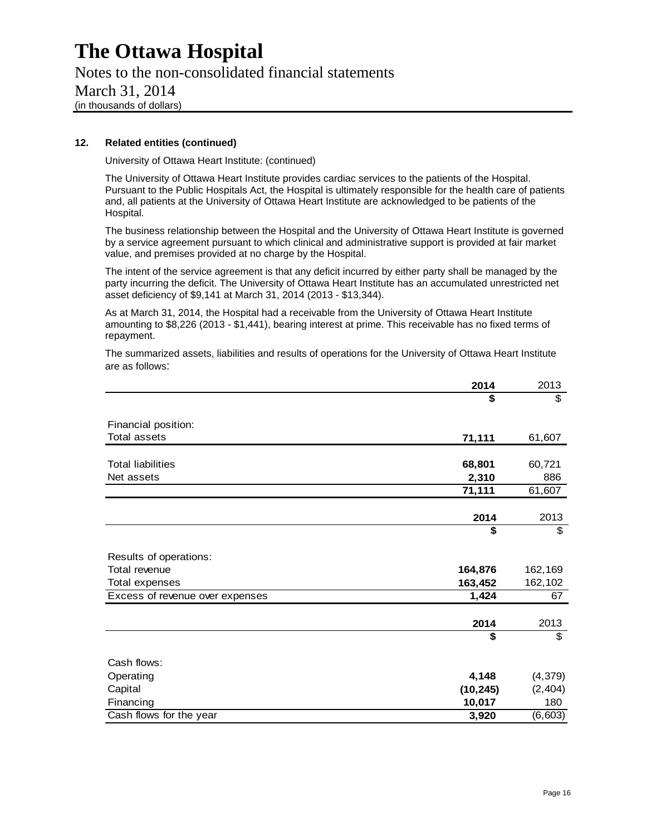Notes to the non-consolidated financial statements March 31, 2014 (in thousands of dollars)

#### **12. Related entities (continued)**

University of Ottawa Heart Institute: (continued)

The University of Ottawa Heart Institute provides cardiac services to the patients of the Hospital. Pursuant to the Public Hospitals Act, the Hospital is ultimately responsible for the health care of patients and, all patients at the University of Ottawa Heart Institute are acknowledged to be patients of the Hospital.

The business relationship between the Hospital and the University of Ottawa Heart Institute is governed by a service agreement pursuant to which clinical and administrative support is provided at fair market value, and premises provided at no charge by the Hospital.

The intent of the service agreement is that any deficit incurred by either party shall be managed by the party incurring the deficit. The University of Ottawa Heart Institute has an accumulated unrestricted net asset deficiency of \$9,141 at March 31, 2014 (2013 - \$13,344).

As at March 31, 2014, the Hospital had a receivable from the University of Ottawa Heart Institute amounting to \$8,226 (2013 - \$1,441), bearing interest at prime. This receivable has no fixed terms of repayment.

The summarized assets, liabilities and results of operations for the University of Ottawa Heart Institute are as follows:

|                                 | 2014      | 2013     |
|---------------------------------|-----------|----------|
|                                 | \$        | \$       |
|                                 |           |          |
| Financial position:             |           |          |
| <b>Total assets</b>             | 71,111    | 61,607   |
| <b>Total liabilities</b>        | 68,801    | 60,721   |
| Net assets                      |           | 886      |
|                                 | 2,310     |          |
|                                 | 71,111    | 61,607   |
|                                 | 2014      | 2013     |
|                                 | \$        | \$       |
| Results of operations:          |           |          |
| Total revenue                   | 164,876   | 162,169  |
| Total expenses                  | 163,452   | 162,102  |
| Excess of revenue over expenses | 1,424     | 67       |
|                                 |           |          |
|                                 | 2014      | 2013     |
|                                 | \$        | \$       |
| Cash flows:                     |           |          |
| Operating                       | 4,148     | (4, 379) |
| Capital                         | (10, 245) | (2, 404) |
| Financing                       | 10,017    | 180      |
| Cash flows for the year         | 3,920     | (6, 603) |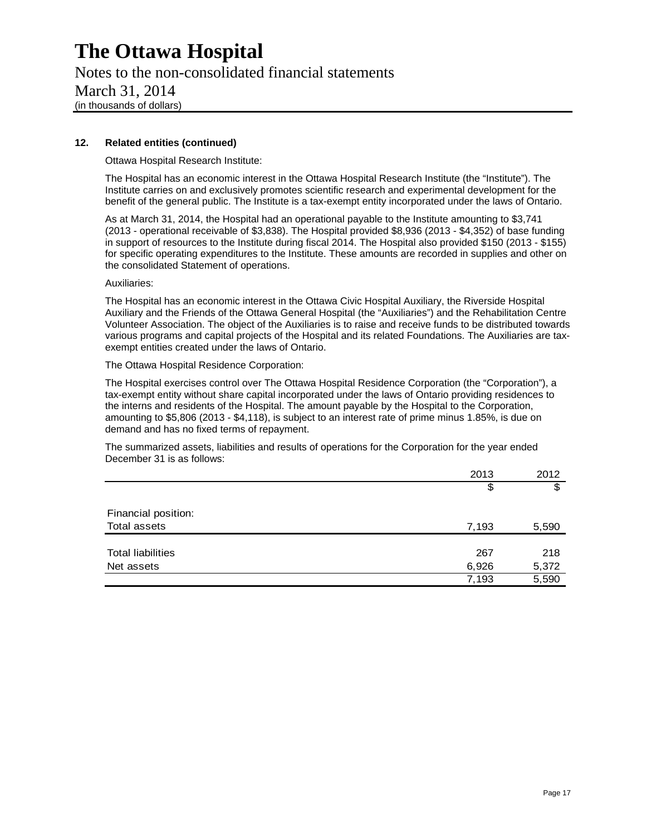Notes to the non-consolidated financial statements March 31, 2014 (in thousands of dollars)

#### **12. Related entities (continued)**

Ottawa Hospital Research Institute:

The Hospital has an economic interest in the Ottawa Hospital Research Institute (the "Institute"). The Institute carries on and exclusively promotes scientific research and experimental development for the benefit of the general public. The Institute is a tax-exempt entity incorporated under the laws of Ontario.

As at March 31, 2014, the Hospital had an operational payable to the Institute amounting to \$3,741 (2013 - operational receivable of \$3,838). The Hospital provided \$8,936 (2013 - \$4,352) of base funding in support of resources to the Institute during fiscal 2014. The Hospital also provided \$150 (2013 - \$155) for specific operating expenditures to the Institute. These amounts are recorded in supplies and other on the consolidated Statement of operations.

Auxiliaries:

The Hospital has an economic interest in the Ottawa Civic Hospital Auxiliary, the Riverside Hospital Auxiliary and the Friends of the Ottawa General Hospital (the "Auxiliaries") and the Rehabilitation Centre Volunteer Association. The object of the Auxiliaries is to raise and receive funds to be distributed towards various programs and capital projects of the Hospital and its related Foundations. The Auxiliaries are taxexempt entities created under the laws of Ontario.

The Ottawa Hospital Residence Corporation:

The Hospital exercises control over The Ottawa Hospital Residence Corporation (the "Corporation"), a tax-exempt entity without share capital incorporated under the laws of Ontario providing residences to the interns and residents of the Hospital. The amount payable by the Hospital to the Corporation, amounting to \$5,806 (2013 - \$4,118), is subject to an interest rate of prime minus 1.85%, is due on demand and has no fixed terms of repayment.

The summarized assets, liabilities and results of operations for the Corporation for the year ended December 31 is as follows:

|                          | 2013  | 2012  |
|--------------------------|-------|-------|
|                          | \$    | \$    |
| Financial position:      |       |       |
| <b>Total assets</b>      | 7,193 | 5,590 |
|                          |       |       |
| <b>Total liabilities</b> | 267   | 218   |
| Net assets               | 6,926 | 5,372 |
|                          | 7,193 | 5,590 |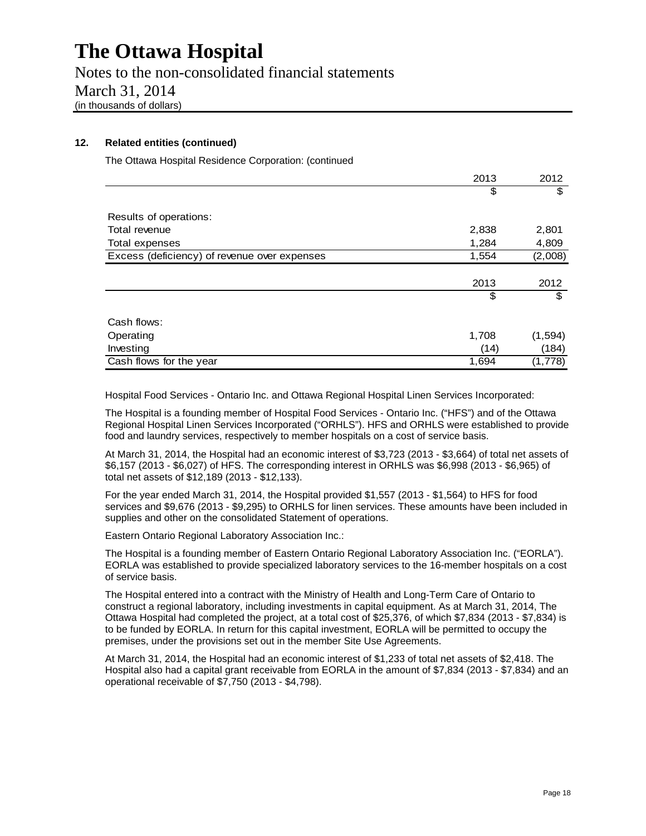Notes to the non-consolidated financial statements March 31, 2014 (in thousands of dollars)

#### **12. Related entities (continued)**

The Ottawa Hospital Residence Corporation: (continued

|                                              | 2013  | 2012     |
|----------------------------------------------|-------|----------|
|                                              | \$    | \$       |
|                                              |       |          |
| Results of operations:                       |       |          |
| Total revenue                                | 2,838 | 2,801    |
| Total expenses                               | 1,284 | 4,809    |
| Excess (deficiency) of revenue over expenses | 1,554 | (2,008)  |
|                                              |       |          |
|                                              | 2013  | 2012     |
|                                              | \$    | \$       |
|                                              |       |          |
| Cash flows:                                  |       |          |
| Operating                                    | 1,708 | (1, 594) |
| Investing                                    | (14)  | (184)    |
| Cash flows for the year                      | 1,694 | (1,778)  |

Hospital Food Services - Ontario Inc. and Ottawa Regional Hospital Linen Services Incorporated:

The Hospital is a founding member of Hospital Food Services - Ontario Inc. ("HFS") and of the Ottawa Regional Hospital Linen Services Incorporated ("ORHLS"). HFS and ORHLS were established to provide food and laundry services, respectively to member hospitals on a cost of service basis.

At March 31, 2014, the Hospital had an economic interest of \$3,723 (2013 - \$3,664) of total net assets of \$6,157 (2013 - \$6,027) of HFS. The corresponding interest in ORHLS was \$6,998 (2013 - \$6,965) of total net assets of \$12,189 (2013 - \$12,133).

For the year ended March 31, 2014, the Hospital provided \$1,557 (2013 - \$1,564) to HFS for food services and \$9,676 (2013 - \$9,295) to ORHLS for linen services. These amounts have been included in supplies and other on the consolidated Statement of operations.

Eastern Ontario Regional Laboratory Association Inc.:

The Hospital is a founding member of Eastern Ontario Regional Laboratory Association Inc. ("EORLA"). EORLA was established to provide specialized laboratory services to the 16-member hospitals on a cost of service basis.

The Hospital entered into a contract with the Ministry of Health and Long-Term Care of Ontario to construct a regional laboratory, including investments in capital equipment. As at March 31, 2014, The Ottawa Hospital had completed the project, at a total cost of \$25,376, of which \$7,834 (2013 - \$7,834) is to be funded by EORLA. In return for this capital investment, EORLA will be permitted to occupy the premises, under the provisions set out in the member Site Use Agreements.

At March 31, 2014, the Hospital had an economic interest of \$1,233 of total net assets of \$2,418. The Hospital also had a capital grant receivable from EORLA in the amount of \$7,834 (2013 - \$7,834) and an operational receivable of \$7,750 (2013 - \$4,798).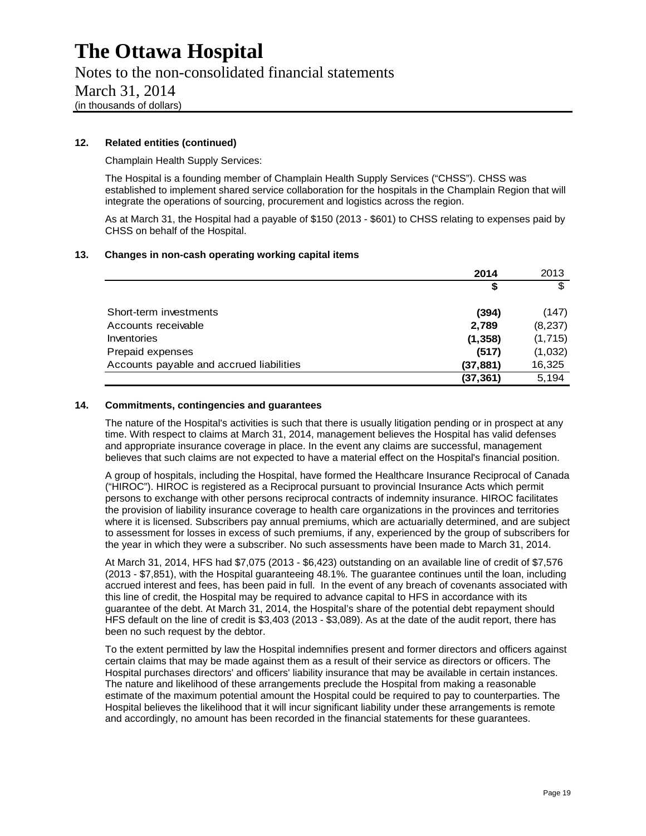### Notes to the non-consolidated financial statements March 31, 2014 (in thousands of dollars)

#### **12. Related entities (continued)**

Champlain Health Supply Services:

The Hospital is a founding member of Champlain Health Supply Services ("CHSS"). CHSS was established to implement shared service collaboration for the hospitals in the Champlain Region that will integrate the operations of sourcing, procurement and logistics across the region.

As at March 31, the Hospital had a payable of \$150 (2013 - \$601) to CHSS relating to expenses paid by CHSS on behalf of the Hospital.

#### **13. Changes in non-cash operating working capital items**

|                                          | 2014      | 2013    |
|------------------------------------------|-----------|---------|
|                                          | \$        | \$      |
| Short-term investments                   | (394)     | (147)   |
| Accounts receivable                      | 2,789     | (8,237) |
| Inventories                              | (1, 358)  | (1,715) |
| Prepaid expenses                         | (517)     | (1,032) |
| Accounts payable and accrued liabilities | (37, 881) | 16,325  |
|                                          | (37, 361) | 5,194   |

#### **14. Commitments, contingencies and guarantees**

The nature of the Hospital's activities is such that there is usually litigation pending or in prospect at any time. With respect to claims at March 31, 2014, management believes the Hospital has valid defenses and appropriate insurance coverage in place. In the event any claims are successful, management believes that such claims are not expected to have a material effect on the Hospital's financial position.

A group of hospitals, including the Hospital, have formed the Healthcare Insurance Reciprocal of Canada ("HIROC"). HIROC is registered as a Reciprocal pursuant to provincial Insurance Acts which permit persons to exchange with other persons reciprocal contracts of indemnity insurance. HIROC facilitates the provision of liability insurance coverage to health care organizations in the provinces and territories where it is licensed. Subscribers pay annual premiums, which are actuarially determined, and are subject to assessment for losses in excess of such premiums, if any, experienced by the group of subscribers for the year in which they were a subscriber. No such assessments have been made to March 31, 2014.

At March 31, 2014, HFS had \$7,075 (2013 - \$6,423) outstanding on an available line of credit of \$7,576 (2013 - \$7,851), with the Hospital guaranteeing 48.1%. The guarantee continues until the loan, including accrued interest and fees, has been paid in full. In the event of any breach of covenants associated with this line of credit, the Hospital may be required to advance capital to HFS in accordance with its guarantee of the debt. At March 31, 2014, the Hospital's share of the potential debt repayment should HFS default on the line of credit is \$3,403 (2013 - \$3,089). As at the date of the audit report, there has been no such request by the debtor.

To the extent permitted by law the Hospital indemnifies present and former directors and officers against certain claims that may be made against them as a result of their service as directors or officers. The Hospital purchases directors' and officers' liability insurance that may be available in certain instances. The nature and likelihood of these arrangements preclude the Hospital from making a reasonable estimate of the maximum potential amount the Hospital could be required to pay to counterparties. The Hospital believes the likelihood that it will incur significant liability under these arrangements is remote and accordingly, no amount has been recorded in the financial statements for these guarantees.